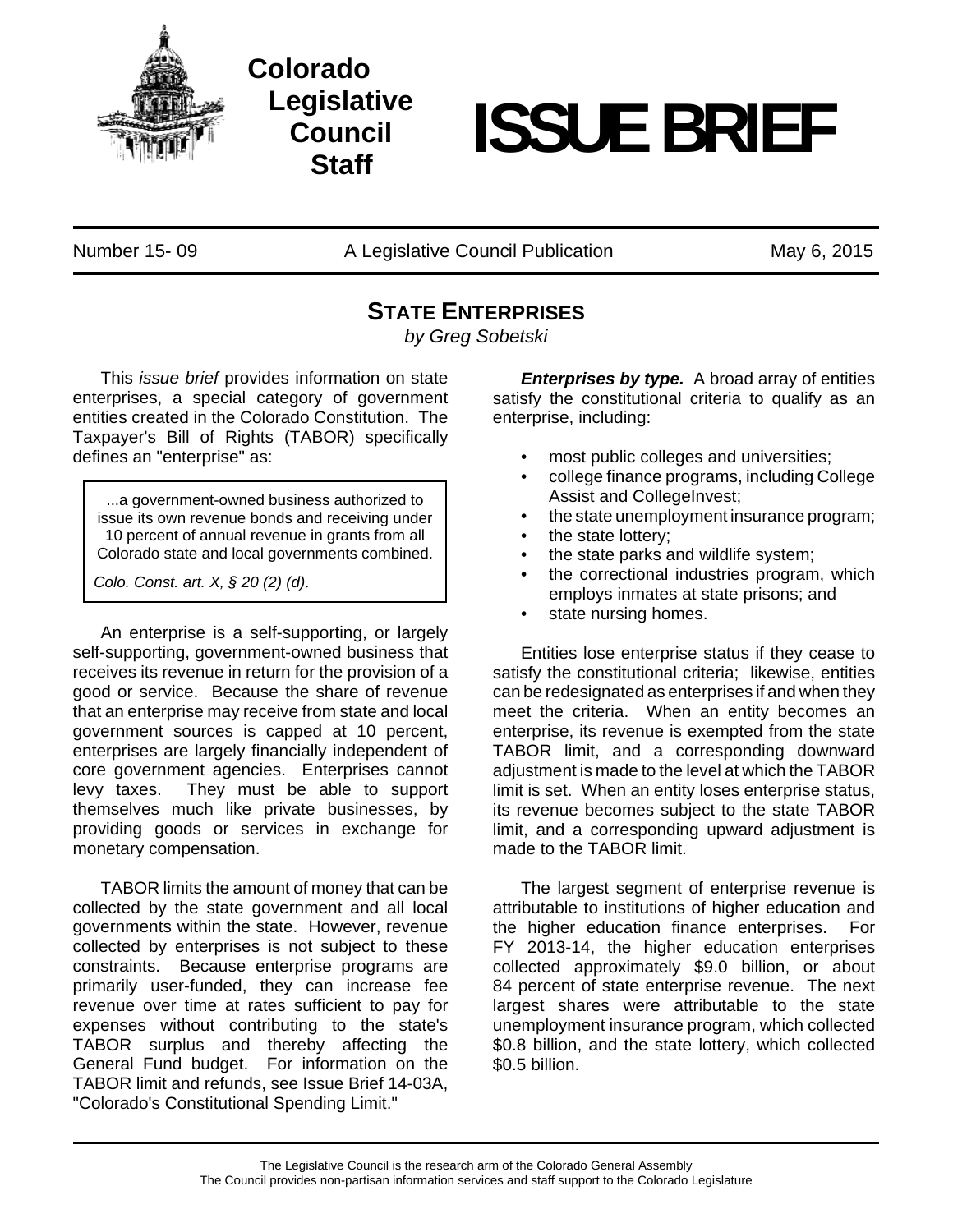

**Colorado Legislative Council Staff**

## **ISSUE BRIEF**

Number 15- 09 A Legislative Council Publication May 6, 2015

## **STATE ENTERPRISES**

*by Greg Sobetski*

This *issue brief* provides information on state enterprises, a special category of government entities created in the Colorado Constitution. The Taxpayer's Bill of Rights (TABOR) specifically defines an "enterprise" as:

...a government-owned business authorized to issue its own revenue bonds and receiving under 10 percent of annual revenue in grants from all Colorado state and local governments combined.

*Colo. Const. art. X, § 20 (2) (d)*.

An enterprise is a self-supporting, or largely self-supporting, government-owned business that receives its revenue in return for the provision of a good or service. Because the share of revenue that an enterprise may receive from state and local government sources is capped at 10 percent, enterprises are largely financially independent of core government agencies. Enterprises cannot levy taxes. They must be able to support themselves much like private businesses, by providing goods or services in exchange for monetary compensation.

TABOR limits the amount of money that can be collected by the state government and all local governments within the state. However, revenue collected by enterprises is not subject to these constraints. Because enterprise programs are primarily user-funded, they can increase fee revenue over time at rates sufficient to pay for expenses without contributing to the state's TABOR surplus and thereby affecting the General Fund budget. For information on the TABOR limit and refunds, see Issue Brief 14-03A, "Colorado's Constitutional Spending Limit."

*Enterprises by type.* A broad array of entities satisfy the constitutional criteria to qualify as an enterprise, including:

- most public colleges and universities;
- college finance programs, including College Assist and CollegeInvest;
- the state unemployment insurance program;
- the state lottery;
- the state parks and wildlife system;
- the correctional industries program, which employs inmates at state prisons; and
- state nursing homes.

Entities lose enterprise status if they cease to satisfy the constitutional criteria; likewise, entities can be redesignated as enterprises if and when they meet the criteria. When an entity becomes an enterprise, its revenue is exempted from the state TABOR limit, and a corresponding downward adjustment is made to the level at which the TABOR limit is set. When an entity loses enterprise status, its revenue becomes subject to the state TABOR limit, and a corresponding upward adjustment is made to the TABOR limit.

The largest segment of enterprise revenue is attributable to institutions of higher education and the higher education finance enterprises. For FY 2013-14, the higher education enterprises collected approximately \$9.0 billion, or about 84 percent of state enterprise revenue. The next largest shares were attributable to the state unemployment insurance program, which collected \$0.8 billion, and the state lottery, which collected \$0.5 billion.